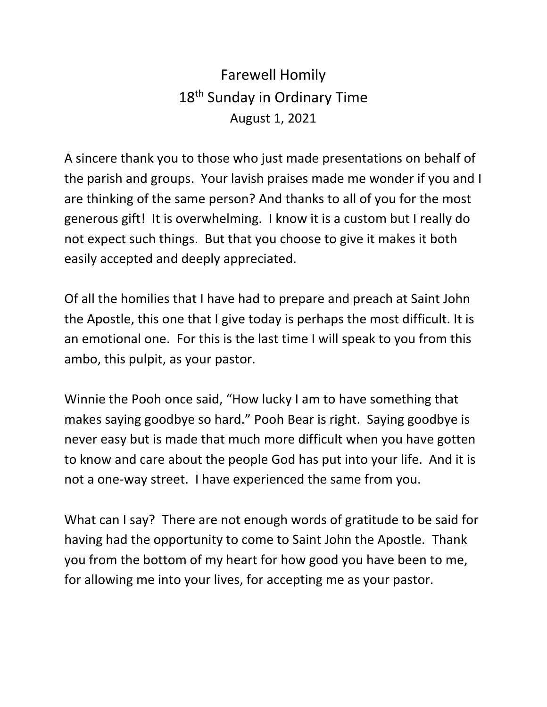## Farewell Homily 18<sup>th</sup> Sunday in Ordinary Time August 1, 2021

A sincere thank you to those who just made presentations on behalf of the parish and groups. Your lavish praises made me wonder if you and I are thinking of the same person? And thanks to all of you for the most generous gift! It is overwhelming. I know it is a custom but I really do not expect such things. But that you choose to give it makes it both easily accepted and deeply appreciated.

Of all the homilies that I have had to prepare and preach at Saint John the Apostle, this one that I give today is perhaps the most difficult. It is an emotional one. For this is the last time I will speak to you from this ambo, this pulpit, as your pastor.

Winnie the Pooh once said, "How lucky I am to have something that makes saying goodbye so hard." Pooh Bear is right. Saying goodbye is never easy but is made that much more difficult when you have gotten to know and care about the people God has put into your life. And it is not a one-way street. I have experienced the same from you.

What can I say? There are not enough words of gratitude to be said for having had the opportunity to come to Saint John the Apostle. Thank you from the bottom of my heart for how good you have been to me, for allowing me into your lives, for accepting me as your pastor.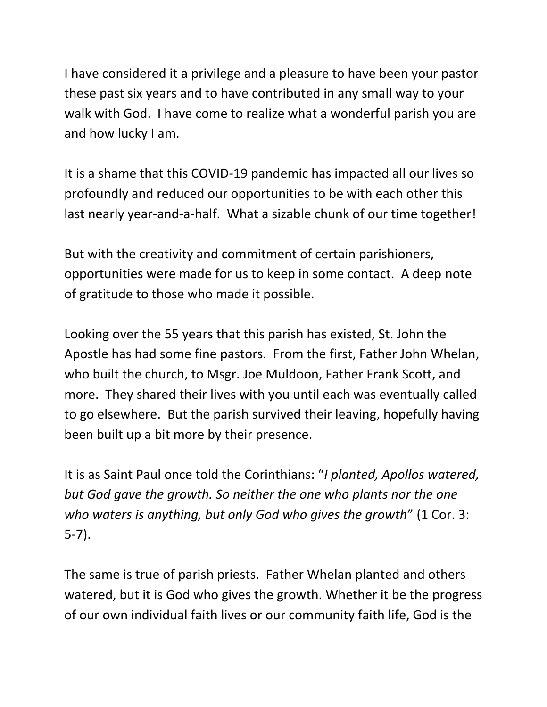I have considered it a privilege and a pleasure to have been your pastor these past six years and to have contributed in any small way to your walk with God. I have come to realize what a wonderful parish you are and how lucky I am.

It is a shame that this COVID-19 pandemic has impacted all our lives so profoundly and reduced our opportunities to be with each other this last nearly year-and-a-half. What a sizable chunk of our time together!

But with the creativity and commitment of certain parishioners, opportunities were made for us to keep in some contact. A deep note of gratitude to those who made it possible.

Looking over the 55 years that this parish has existed, St. John the Apostle has had some fine pastors. From the first, Father John Whelan, who built the church, to Msgr. Joe Muldoon, Father Frank Scott, and more. They shared their lives with you until each was eventually called to go elsewhere. But the parish survived their leaving, hopefully having been built up a bit more by their presence.

It is as Saint Paul once told the Corinthians: "*I planted, Apollos watered, but God gave the growth. So neither the one who plants nor the one who waters is anything, but only God who gives the growth*" (1 Cor. 3: 5-7).

The same is true of parish priests. Father Whelan planted and others watered, but it is God who gives the growth. Whether it be the progress of our own individual faith lives or our community faith life, God is the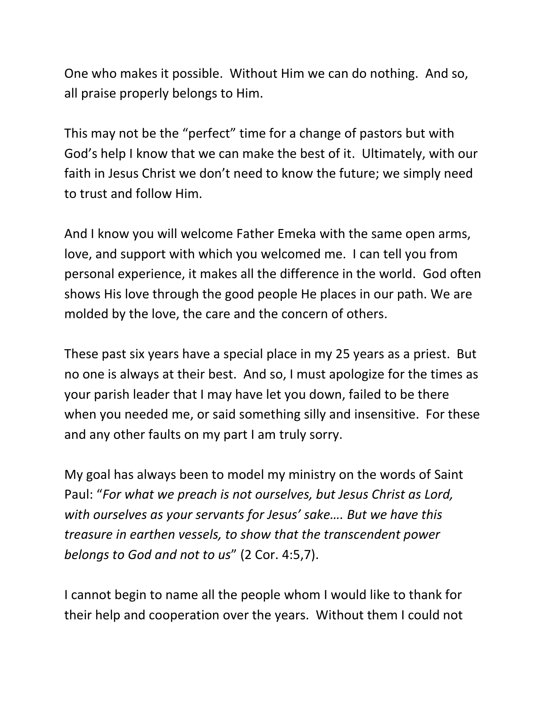One who makes it possible. Without Him we can do nothing. And so, all praise properly belongs to Him.

This may not be the "perfect" time for a change of pastors but with God's help I know that we can make the best of it. Ultimately, with our faith in Jesus Christ we don't need to know the future; we simply need to trust and follow Him.

And I know you will welcome Father Emeka with the same open arms, love, and support with which you welcomed me. I can tell you from personal experience, it makes all the difference in the world. God often shows His love through the good people He places in our path. We are molded by the love, the care and the concern of others.

These past six years have a special place in my 25 years as a priest. But no one is always at their best. And so, I must apologize for the times as your parish leader that I may have let you down, failed to be there when you needed me, or said something silly and insensitive. For these and any other faults on my part I am truly sorry.

My goal has always been to model my ministry on the words of Saint Paul: "*For what we preach is not ourselves, but Jesus Christ as Lord, with ourselves as your servants for Jesus' sake…. But we have this treasure in earthen vessels, to show that the transcendent power belongs to God and not to us*" (2 Cor. 4:5,7).

I cannot begin to name all the people whom I would like to thank for their help and cooperation over the years. Without them I could not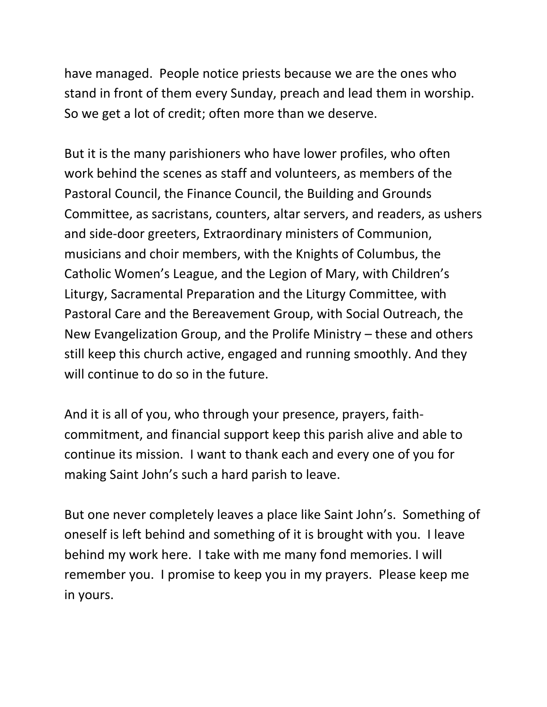have managed. People notice priests because we are the ones who stand in front of them every Sunday, preach and lead them in worship. So we get a lot of credit; often more than we deserve.

But it is the many parishioners who have lower profiles, who often work behind the scenes as staff and volunteers, as members of the Pastoral Council, the Finance Council, the Building and Grounds Committee, as sacristans, counters, altar servers, and readers, as ushers and side-door greeters, Extraordinary ministers of Communion, musicians and choir members, with the Knights of Columbus, the Catholic Women's League, and the Legion of Mary, with Children's Liturgy, Sacramental Preparation and the Liturgy Committee, with Pastoral Care and the Bereavement Group, with Social Outreach, the New Evangelization Group, and the Prolife Ministry – these and others still keep this church active, engaged and running smoothly. And they will continue to do so in the future.

And it is all of you, who through your presence, prayers, faithcommitment, and financial support keep this parish alive and able to continue its mission. I want to thank each and every one of you for making Saint John's such a hard parish to leave.

But one never completely leaves a place like Saint John's. Something of oneself is left behind and something of it is brought with you. I leave behind my work here. I take with me many fond memories. I will remember you. I promise to keep you in my prayers. Please keep me in yours.